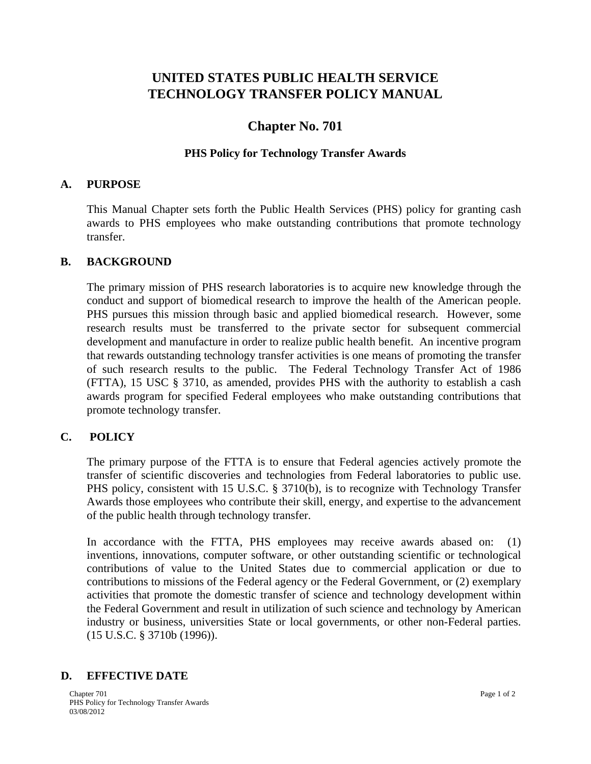# **UNITED STATES PUBLIC HEALTH SERVICE TECHNOLOGY TRANSFER POLICY MANUAL**

# **Chapter No. 701**

### **PHS Policy for Technology Transfer Awards**

#### **A. PURPOSE**

This Manual Chapter sets forth the Public Health Services (PHS) policy for granting cash awards to PHS employees who make outstanding contributions that promote technology transfer.

#### **B. BACKGROUND**

The primary mission of PHS research laboratories is to acquire new knowledge through the conduct and support of biomedical research to improve the health of the American people. PHS pursues this mission through basic and applied biomedical research. However, some research results must be transferred to the private sector for subsequent commercial development and manufacture in order to realize public health benefit. An incentive program that rewards outstanding technology transfer activities is one means of promoting the transfer of such research results to the public. The Federal Technology Transfer Act of 1986 (FTTA), 15 USC § 3710, as amended, provides PHS with the authority to establish a cash awards program for specified Federal employees who make outstanding contributions that promote technology transfer.

### **C. POLICY**

The primary purpose of the FTTA is to ensure that Federal agencies actively promote the transfer of scientific discoveries and technologies from Federal laboratories to public use. PHS policy, consistent with 15 U.S.C. § 3710(b), is to recognize with Technology Transfer Awards those employees who contribute their skill, energy, and expertise to the advancement of the public health through technology transfer.

In accordance with the FTTA, PHS employees may receive awards abased on: (1) inventions, innovations, computer software, or other outstanding scientific or technological contributions of value to the United States due to commercial application or due to contributions to missions of the Federal agency or the Federal Government, or (2) exemplary activities that promote the domestic transfer of science and technology development within the Federal Government and result in utilization of such science and technology by American industry or business, universities State or local governments, or other non-Federal parties. (15 U.S.C. § 3710b (1996)).

## **D. EFFECTIVE DATE**

Chapter 701 **Page 1 of 2** PHS Policy for Technology Transfer Awards 03/08/2012